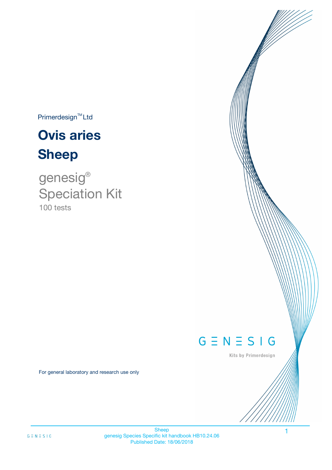$Primerdesign^{TM}$ Ltd

# **Ovis aries Sheep**

100 tests genesig ® Speciation Kit

# $G \equiv N \equiv S \mid G$

Kits by Primerdesign

1

For general laboratory and research use only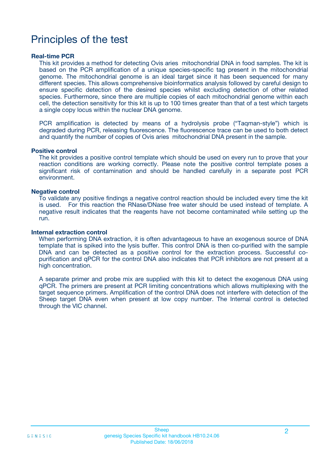# Principles of the test

### **Real-time PCR**

This kit provides a method for detecting Ovis aries mitochondrial DNA in food samples. The kit is based on the PCR amplification of a unique species-specific tag present in the mitochondrial genome. The mitochondrial genome is an ideal target since it has been sequenced for many different species. This allows comprehensive bioinformatics analysis followed by careful design to ensure specific detection of the desired species whilst excluding detection of other related species. Furthermore, since there are multiple copies of each mitochondrial genome within each cell, the detection sensitivity for this kit is up to 100 times greater than that of a test which targets a single copy locus within the nuclear DNA genome.

PCR amplification is detected by means of a hydrolysis probe ("Taqman-style") which is degraded during PCR, releasing fluorescence. The fluorescence trace can be used to both detect and quantify the number of copies of Ovis aries mitochondrial DNA present in the sample.

### **Positive control**

The kit provides a positive control template which should be used on every run to prove that your reaction conditions are working correctly. Please note the positive control template poses a significant risk of contamination and should be handled carefully in a separate post PCR environment.

### **Negative control**

To validate any positive findings a negative control reaction should be included every time the kit is used. For this reaction the RNase/DNase free water should be used instead of template. A negative result indicates that the reagents have not become contaminated while setting up the run.

#### **Internal extraction control**

When performing DNA extraction, it is often advantageous to have an exogenous source of DNA template that is spiked into the lysis buffer. This control DNA is then co-purified with the sample DNA and can be detected as a positive control for the extraction process. Successful copurification and qPCR for the control DNA also indicates that PCR inhibitors are not present at a high concentration.

A separate primer and probe mix are supplied with this kit to detect the exogenous DNA using qPCR. The primers are present at PCR limiting concentrations which allows multiplexing with the target sequence primers. Amplification of the control DNA does not interfere with detection of the Sheep target DNA even when present at low copy number. The Internal control is detected through the VIC channel.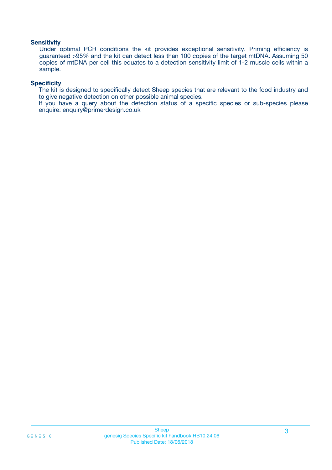### **Sensitivity**

Under optimal PCR conditions the kit provides exceptional sensitivity. Priming efficiency is guaranteed >95% and the kit can detect less than 100 copies of the target mtDNA. Assuming 50 copies of mtDNA per cell this equates to a detection sensitivity limit of 1-2 muscle cells within a sample.

### **Specificity**

The kit is designed to specifically detect Sheep species that are relevant to the food industry and to give negative detection on other possible animal species.

If you have a query about the detection status of a specific species or sub-species please enquire: enquiry@primerdesign.co.uk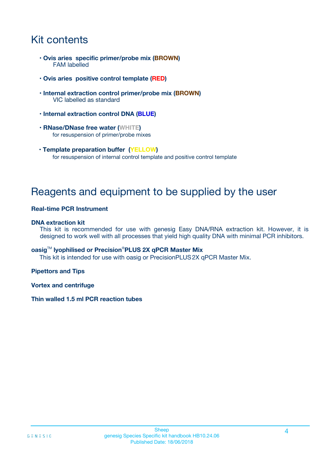# Kit contents

- **Ovis aries specific primer/probe mix (BROWN)** FAM labelled
- **Ovis aries positive control template (RED)**
- **Internal extraction control primer/probe mix (BROWN)** VIC labelled as standard
- **Internal extraction control DNA (BLUE)**
- **RNase/DNase free water (WHITE)** for resuspension of primer/probe mixes
- **Template preparation buffer (YELLOW)** for resuspension of internal control template and positive control template

# Reagents and equipment to be supplied by the user

### **Real-time PCR Instrument**

### **DNA extraction kit**

This kit is recommended for use with genesig Easy DNA/RNA extraction kit. However, it is designed to work well with all processes that yield high quality DNA with minimal PCR inhibitors.

### **oasig**TM **lyophilised or Precision**®**PLUS 2X qPCR Master Mix**

This kit is intended for use with oasig or PrecisionPLUS2X qPCR Master Mix.

### **Pipettors and Tips**

**Vortex and centrifuge**

### **Thin walled 1.5 ml PCR reaction tubes**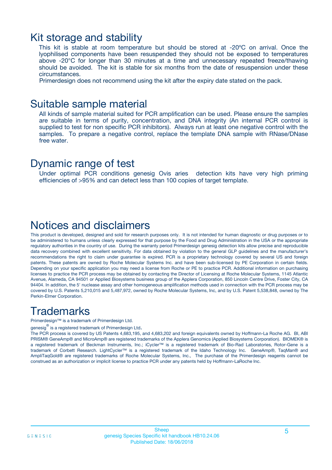### Kit storage and stability

This kit is stable at room temperature but should be stored at -20ºC on arrival. Once the lyophilised components have been resuspended they should not be exposed to temperatures above -20°C for longer than 30 minutes at a time and unnecessary repeated freeze/thawing should be avoided. The kit is stable for six months from the date of resuspension under these circumstances.

Primerdesign does not recommend using the kit after the expiry date stated on the pack.

### Suitable sample material

All kinds of sample material suited for PCR amplification can be used. Please ensure the samples are suitable in terms of purity, concentration, and DNA integrity (An internal PCR control is supplied to test for non specific PCR inhibitors). Always run at least one negative control with the samples. To prepare a negative control, replace the template DNA sample with RNase/DNase free water.

### Dynamic range of test

Under optimal PCR conditions genesig Ovis aries detection kits have very high priming efficiencies of >95% and can detect less than 100 copies of target template.

## Notices and disclaimers

This product is developed, designed and sold for research purposes only. It is not intended for human diagnostic or drug purposes or to be administered to humans unless clearly expressed for that purpose by the Food and Drug Administration in the USA or the appropriate regulatory authorities in the country of use. During the warranty period Primerdesign genesig detection kits allow precise and reproducible data recovery combined with excellent sensitivity. For data obtained by violation to the general GLP guidelines and the manufacturer's recommendations the right to claim under guarantee is expired. PCR is a proprietary technology covered by several US and foreign patents. These patents are owned by Roche Molecular Systems Inc. and have been sub-licensed by PE Corporation in certain fields. Depending on your specific application you may need a license from Roche or PE to practice PCR. Additional information on purchasing licenses to practice the PCR process may be obtained by contacting the Director of Licensing at Roche Molecular Systems, 1145 Atlantic Avenue, Alameda, CA 94501 or Applied Biosystems business group of the Applera Corporation, 850 Lincoln Centre Drive, Foster City, CA 94404. In addition, the 5' nuclease assay and other homogeneous amplification methods used in connection with the PCR process may be covered by U.S. Patents 5,210,015 and 5,487,972, owned by Roche Molecular Systems, Inc, and by U.S. Patent 5,538,848, owned by The Perkin-Elmer Corporation.

# **Trademarks**

Primerdesign™ is a trademark of Primerdesign Ltd.

genesig $^\circledR$  is a registered trademark of Primerdesign Ltd.

The PCR process is covered by US Patents 4,683,195, and 4,683,202 and foreign equivalents owned by Hoffmann-La Roche AG. BI, ABI PRISM® GeneAmp® and MicroAmp® are registered trademarks of the Applera Genomics (Applied Biosystems Corporation). BIOMEK® is a registered trademark of Beckman Instruments, Inc.; iCycler™ is a registered trademark of Bio-Rad Laboratories, Rotor-Gene is a trademark of Corbett Research. LightCycler™ is a registered trademark of the Idaho Technology Inc. GeneAmp®, TaqMan® and AmpliTaqGold® are registered trademarks of Roche Molecular Systems, Inc., The purchase of the Primerdesign reagents cannot be construed as an authorization or implicit license to practice PCR under any patents held by Hoffmann-LaRoche Inc.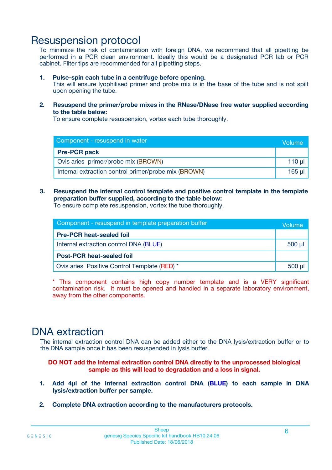# Resuspension protocol

To minimize the risk of contamination with foreign DNA, we recommend that all pipetting be performed in a PCR clean environment. Ideally this would be a designated PCR lab or PCR cabinet. Filter tips are recommended for all pipetting steps.

### **1. Pulse-spin each tube in a centrifuge before opening.**

This will ensure lyophilised primer and probe mix is in the base of the tube and is not spilt upon opening the tube.

**2. Resuspend the primer/probe mixes in the RNase/DNase free water supplied according to the table below:**

To ensure complete resuspension, vortex each tube thoroughly.

| Component - resuspend in water                       |  |  |  |
|------------------------------------------------------|--|--|--|
| <b>Pre-PCR pack</b>                                  |  |  |  |
| Ovis aries primer/probe mix (BROWN)                  |  |  |  |
| Internal extraction control primer/probe mix (BROWN) |  |  |  |

### **3. Resuspend the internal control template and positive control template in the template preparation buffer supplied, according to the table below:**

To ensure complete resuspension, vortex the tube thoroughly.

| Component - resuspend in template preparation buffer |             |  |
|------------------------------------------------------|-------------|--|
| <b>Pre-PCR heat-sealed foil</b>                      |             |  |
| Internal extraction control DNA (BLUE)               | $500$ $\mu$ |  |
| <b>Post-PCR heat-sealed foil</b>                     |             |  |
| Ovis aries Positive Control Template (RED) *         |             |  |

\* This component contains high copy number template and is a VERY significant contamination risk. It must be opened and handled in a separate laboratory environment, away from the other components.

# DNA extraction

The internal extraction control DNA can be added either to the DNA lysis/extraction buffer or to the DNA sample once it has been resuspended in lysis buffer.

**DO NOT add the internal extraction control DNA directly to the unprocessed biological sample as this will lead to degradation and a loss in signal.**

- **1. Add 4µl of the Internal extraction control DNA (BLUE) to each sample in DNA lysis/extraction buffer per sample.**
- **2. Complete DNA extraction according to the manufacturers protocols.**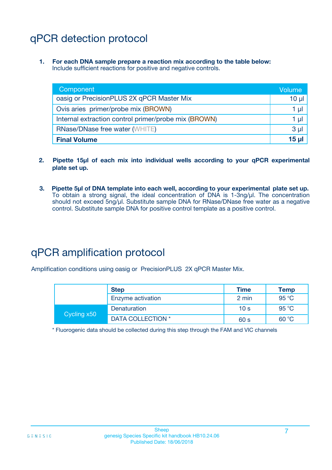# qPCR detection protocol

**1. For each DNA sample prepare a reaction mix according to the table below:** Include sufficient reactions for positive and negative controls.

| Component                                            | Volume         |
|------------------------------------------------------|----------------|
| oasig or PrecisionPLUS 2X qPCR Master Mix            | $10 \mu$       |
| Ovis aries primer/probe mix (BROWN)                  | 1 µl           |
| Internal extraction control primer/probe mix (BROWN) | 1 µI           |
| <b>RNase/DNase free water (WHITE)</b>                | 3 <sub>µ</sub> |
| <b>Final Volume</b>                                  | 15 ul          |

- **2. Pipette 15µl of each mix into individual wells according to your qPCR experimental plate set up.**
- **3. Pipette 5µl of DNA template into each well, according to your experimental plate set up.** To obtain a strong signal, the ideal concentration of DNA is 1-3ng/µl. The concentration should not exceed 5ng/µl. Substitute sample DNA for RNase/DNase free water as a negative control. Substitute sample DNA for positive control template as a positive control.

# qPCR amplification protocol

Amplification conditions using oasig or PrecisionPLUS 2X qPCR Master Mix.

|             | <b>Step</b>       | <b>Time</b>     | Temp           |
|-------------|-------------------|-----------------|----------------|
|             | Enzyme activation | 2 min           | 95 °C          |
| Cycling x50 | Denaturation      | 10 <sub>s</sub> | $95^{\circ}$ C |
|             | DATA COLLECTION * | 60 s            | 60 °C          |

\* Fluorogenic data should be collected during this step through the FAM and VIC channels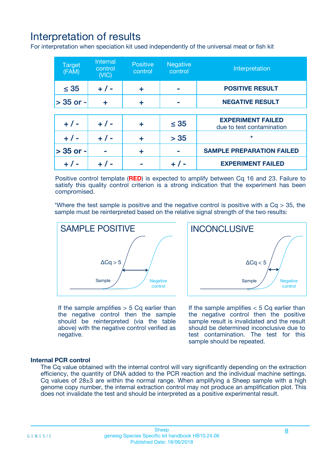# Interpretation of results

For interpretation when speciation kit used independently of the universal meat or fish kit

| <b>Target</b><br>(FAM) | <b>Internal</b><br>control<br>(VIC) | <b>Positive</b><br>control | <b>Negative</b><br>control | Interpretation                                        |
|------------------------|-------------------------------------|----------------------------|----------------------------|-------------------------------------------------------|
| $\leq 35$              | $+ 1 -$                             | ÷                          |                            | <b>POSITIVE RESULT</b>                                |
| $> 35$ or -            | ÷                                   | ÷                          |                            | <b>NEGATIVE RESULT</b>                                |
|                        |                                     |                            |                            |                                                       |
| $+ 1 -$                | $+ 1 -$                             | ÷                          | $\leq 35$                  | <b>EXPERIMENT FAILED</b><br>due to test contamination |
| $+ 1 -$                | $+ 1 -$                             | ٠                          | > 35                       | $\star$                                               |
| $> 35$ or -            |                                     | ÷                          |                            | <b>SAMPLE PREPARATION FAILED</b>                      |
|                        |                                     |                            |                            | <b>EXPERIMENT FAILED</b>                              |

Positive control template (**RED**) is expected to amplify between Cq 16 and 23. Failure to satisfy this quality control criterion is a strong indication that the experiment has been compromised.

\*Where the test sample is positive and the negative control is positive with a  $Ca > 35$ , the sample must be reinterpreted based on the relative signal strength of the two results:



If the sample amplifies  $> 5$  Cq earlier than the negative control then the sample should be reinterpreted (via the table above) with the negative control verified as negative.

Sample  $/$  / Negative control  $\Delta$ Ca < 5 **INCONCLUSIVE** 

If the sample amplifies  $< 5$  Cq earlier than the negative control then the positive sample result is invalidated and the result should be determined inconclusive due to test contamination. The test for this sample should be repeated.

### **Internal PCR control**

The Cq value obtained with the internal control will vary significantly depending on the extraction efficiency, the quantity of DNA added to the PCR reaction and the individual machine settings. Cq values of  $28\pm3$  are within the normal range. When amplifying a Sheep sample with a high genome copy number, the internal extraction control may not produce an amplification plot. This does not invalidate the test and should be interpreted as a positive experimental result.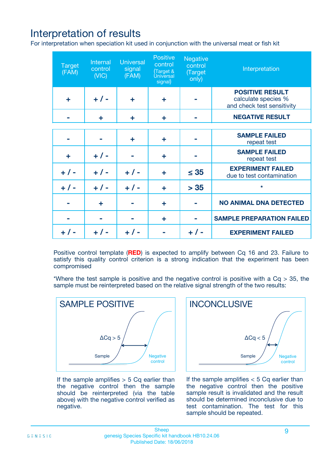# Interpretation of results

For interpretation when speciation kit used in conjunction with the universal meat or fish kit

| <b>Target</b><br>(FAM) | Internal<br>control<br>(NIC) | <b>Universal</b><br>signal<br>(FAM) | Positive<br>control<br>(Target &<br><b>Universal</b><br>signal) | <b>Negative</b><br>control<br>(Target<br>only) | Interpretation                                                              |
|------------------------|------------------------------|-------------------------------------|-----------------------------------------------------------------|------------------------------------------------|-----------------------------------------------------------------------------|
| ÷                      | $+$ / -                      | ÷                                   | ÷                                                               |                                                | <b>POSITIVE RESULT</b><br>calculate species %<br>and check test sensitivity |
|                        | ÷                            | ÷                                   | ÷                                                               |                                                | <b>NEGATIVE RESULT</b>                                                      |
|                        |                              |                                     |                                                                 |                                                |                                                                             |
|                        |                              | ÷                                   | ÷                                                               |                                                | <b>SAMPLE FAILED</b><br>repeat test                                         |
| ÷                      | $+ 1 -$                      |                                     | ÷                                                               |                                                | <b>SAMPLE FAILED</b><br>repeat test                                         |
| $+/-$                  | $+/-$                        | $+ 1 -$                             | ÷                                                               | $\leq 35$                                      | <b>EXPERIMENT FAILED</b><br>due to test contamination                       |
| $+ 1 -$                | $+/-$                        | $+/-$                               | ÷                                                               | > 35                                           | $\star$                                                                     |
|                        | ÷                            |                                     | ÷                                                               |                                                | <b>NO ANIMAL DNA DETECTED</b>                                               |
|                        |                              |                                     | ÷                                                               |                                                | <b>SAMPLE PREPARATION FAILED</b>                                            |
| $+  / -$               | $+ 1 -$                      |                                     |                                                                 |                                                | <b>EXPERIMENT FAILED</b>                                                    |

Positive control template (**RED**) is expected to amplify between Cq 16 and 23. Failure to satisfy this quality control criterion is a strong indication that the experiment has been compromised

\*Where the test sample is positive and the negative control is positive with a  $Cq > 35$ , the sample must be reinterpreted based on the relative signal strength of the two results:



If the sample amplifies  $> 5$  Cq earlier than the negative control then the sample should be reinterpreted (via the table above) with the negative control verified as negative.



If the sample amplifies  $< 5$  Cq earlier than the negative control then the positive sample result is invalidated and the result should be determined inconclusive due to test contamination. The test for this sample should be repeated.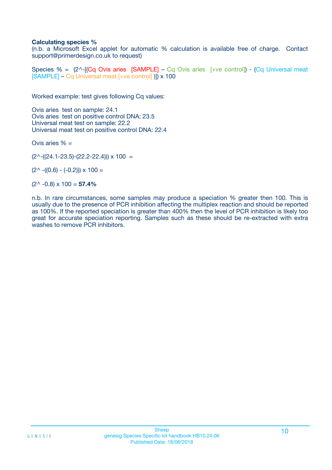### **Calculating species %**

(n.b. a Microsoft Excel applet for automatic % calculation is available free of charge. Contact support@primerdesign.co.uk to request)

Species % =  $(2^{\wedge}-(Cq \text{ Ovis arise } [SAMPLE] - Cq \text{ Ovis arises } [+ve \text{ control}]) - (Cq \text{ Universal meat})$ [SAMPLE] – Cq Universal meat [+ve control] )]) x 100

Worked example: test gives following Cq values:

Ovis aries test on sample: 24.1 Ovis aries test on positive control DNA: 23.5 Universal meat test on sample: 22.2 Universal meat test on positive control DNA: 22.4

Ovis aries  $% =$ 

 $(2^{\wedge}-(24.1-23.5)-(22.2-22.4))) \times 100 =$ 

 $(2^{\wedge}$  -((0.6) - (-0.2)))  $\times$  100 =

(2^ -0.8) x 100 = **57.4%**

n.b. In rare circumstances, some samples may produce a speciation % greater then 100. This is usually due to the presence of PCR inhibition affecting the multiplex reaction and should be reported as 100%. If the reported speciation is greater than 400% then the level of PCR inhibition is likely too great for accurate speciation reporting. Samples such as these should be re-extracted with extra washes to remove PCR inhibitors.